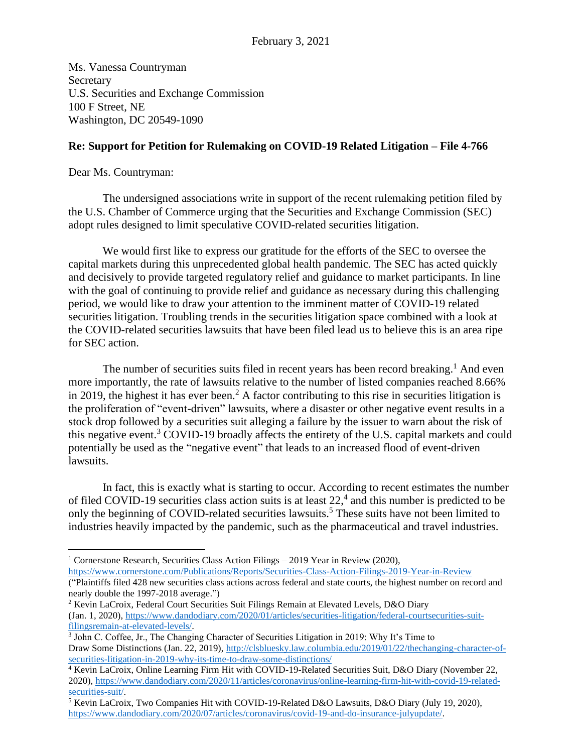Ms. Vanessa Countryman Secretary U.S. Securities and Exchange Commission 100 F Street, NE Washington, DC 20549-1090

## **Re: Support for Petition for Rulemaking on COVID-19 Related Litigation – File 4-766**

Dear Ms. Countryman:

The undersigned associations write in support of the recent rulemaking petition filed by the U.S. Chamber of Commerce urging that the Securities and Exchange Commission (SEC) adopt rules designed to limit speculative COVID-related securities litigation.

We would first like to express our gratitude for the efforts of the SEC to oversee the capital markets during this unprecedented global health pandemic. The SEC has acted quickly and decisively to provide targeted regulatory relief and guidance to market participants. In line with the goal of continuing to provide relief and guidance as necessary during this challenging period, we would like to draw your attention to the imminent matter of COVID-19 related securities litigation. Troubling trends in the securities litigation space combined with a look at the COVID-related securities lawsuits that have been filed lead us to believe this is an area ripe for SEC action.

The number of securities suits filed in recent years has been record breaking.<sup>1</sup> And even more importantly, the rate of lawsuits relative to the number of listed companies reached 8.66% in 2019, the highest it has ever been.<sup>2</sup> A factor contributing to this rise in securities litigation is the proliferation of "event-driven" lawsuits, where a disaster or other negative event results in a stock drop followed by a securities suit alleging a failure by the issuer to warn about the risk of this negative event.<sup>3</sup> COVID-19 broadly affects the entirety of the U.S. capital markets and could potentially be used as the "negative event" that leads to an increased flood of event-driven lawsuits.

In fact, this is exactly what is starting to occur. According to recent estimates the number of filed COVID-19 securities class action suits is at least  $22<sup>4</sup>$  and this number is predicted to be only the beginning of COVID-related securities lawsuits. <sup>5</sup> These suits have not been limited to industries heavily impacted by the pandemic, such as the pharmaceutical and travel industries.

<sup>&</sup>lt;sup>1</sup> Cornerstone Research, Securities Class Action Filings – 2019 Year in Review (2020),

<https://www.cornerstone.com/Publications/Reports/Securities-Class-Action-Filings-2019-Year-in-Review> ("Plaintiffs filed 428 new securities class actions across federal and state courts, the highest number on record and nearly double the 1997-2018 average.")

<sup>2</sup> Kevin LaCroix, Federal Court Securities Suit Filings Remain at Elevated Levels, D&O Diary (Jan. 1, 2020), [https://www.dandodiary.com/2020/01/articles/securities-litigation/federal-courtsecurities-suit](https://www.dandodiary.com/2020/01/articles/securities-litigation/federal-courtsecurities-suit-filingsremain-at-elevated-levels/)[filingsremain-at-elevated-levels/.](https://www.dandodiary.com/2020/01/articles/securities-litigation/federal-courtsecurities-suit-filingsremain-at-elevated-levels/)

<sup>3</sup> John C. Coffee, Jr., The Changing Character of Securities Litigation in 2019: Why It's Time to Draw Some Distinctions (Jan. 22, 2019), [http://clsbluesky.law.columbia.edu/2019/01/22/thechanging-character-of](http://clsbluesky.law.columbia.edu/2019/01/22/thechanging-character-of-securities-litigation-in-2019-why-its-time-to-draw-some-distinctions/)[securities-litigation-in-2019-why-its-time-to-draw-some-distinctions/](http://clsbluesky.law.columbia.edu/2019/01/22/thechanging-character-of-securities-litigation-in-2019-why-its-time-to-draw-some-distinctions/)

<sup>&</sup>lt;sup>4</sup> Kevin LaCroix, Online Learning Firm Hit with COVID-19-Related Securities Suit, D&O Diary (November 22, 2020), [https://www.dandodiary.com/2020/11/articles/coronavirus/online-learning-firm-hit-with-covid-19-related](https://www.dandodiary.com/2020/11/articles/coronavirus/online-learning-firm-hit-with-covid-19-related-securities-suit/)[securities-suit/.](https://www.dandodiary.com/2020/11/articles/coronavirus/online-learning-firm-hit-with-covid-19-related-securities-suit/)

<sup>&</sup>lt;sup>5</sup> Kevin LaCroix, Two Companies Hit with COVID-19-Related D&O Lawsuits, D&O Diary (July 19, 2020), [https://www.dandodiary.com/2020/07/articles/coronavirus/covid-19-and-do-insurance-julyupdate/.](https://www.dandodiary.com/2020/07/articles/coronavirus/covid-19-and-do-insurance-julyupdate/)